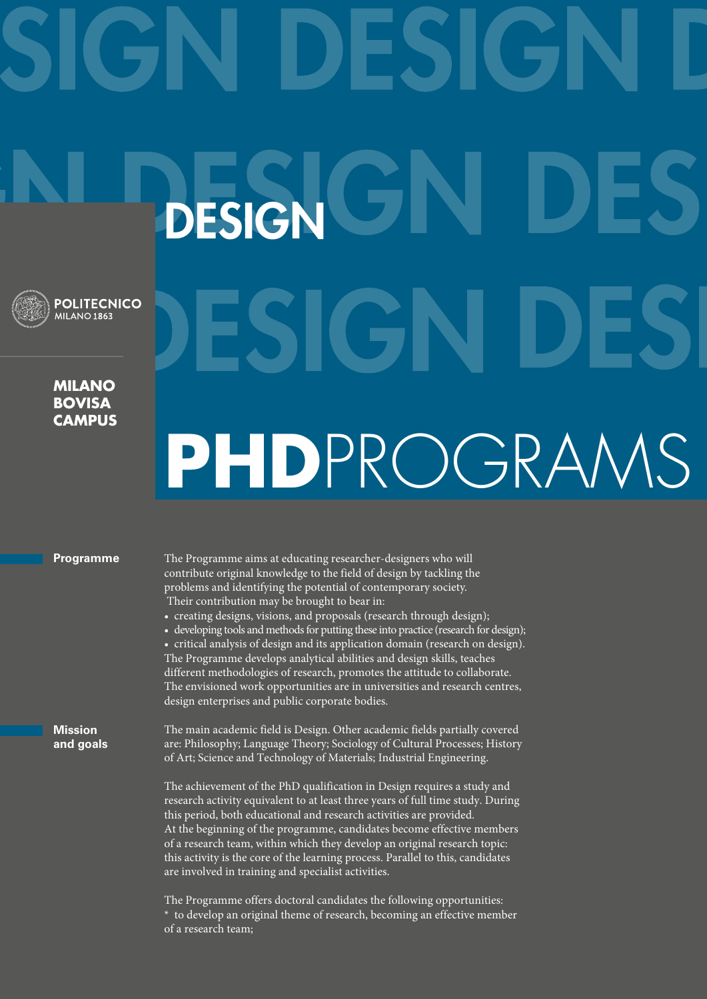## DESIGN **POLITECNICO MILANO 1863 Milano bovisa campus**

## PHDPROGRAM

## **Programme**

The Programme aims at educating researcher-designers who will contribute original knowledge to the field of design by tackling the problems and identifying the potential of contemporary society. Their contribution may be brought to bear in:

• creating designs, visions, and proposals (research through design);

• developing tools and methods for putting these into practice (research for design); • critical analysis of design and its application domain (research on design). The Programme develops analytical abilities and design skills, teaches different methodologies of research, promotes the attitude to collaborate. The envisioned work opportunities are in universities and research centres, design enterprises and public corporate bodies.

**Mission and goals**

The main academic field is Design. Other academic fields partially covered are: Philosophy; Language Theory; Sociology of Cultural Processes; History of Art; Science and Technology of Materials; Industrial Engineering.

The achievement of the PhD qualification in Design requires a study and research activity equivalent to at least three years of full time study. During this period, both educational and research activities are provided. At the beginning of the programme, candidates become effective members of a research team, within which they develop an original research topic: this activity is the core of the learning process. Parallel to this, candidates are involved in training and specialist activities.

The Programme offers doctoral candidates the following opportunities: \* to develop an original theme of research, becoming an effective member of a research team;